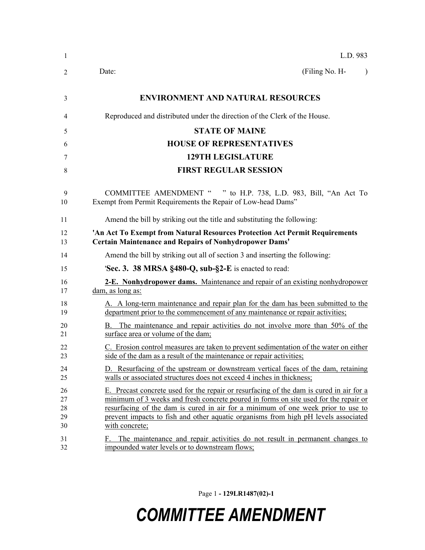| 1                          | L.D. 983                                                                                                                                                                                                                                                                                                                                                                    |
|----------------------------|-----------------------------------------------------------------------------------------------------------------------------------------------------------------------------------------------------------------------------------------------------------------------------------------------------------------------------------------------------------------------------|
| 2                          | (Filing No. H-<br>Date:                                                                                                                                                                                                                                                                                                                                                     |
| 3                          | <b>ENVIRONMENT AND NATURAL RESOURCES</b>                                                                                                                                                                                                                                                                                                                                    |
| 4                          | Reproduced and distributed under the direction of the Clerk of the House.                                                                                                                                                                                                                                                                                                   |
| 5                          | <b>STATE OF MAINE</b>                                                                                                                                                                                                                                                                                                                                                       |
| 6                          | <b>HOUSE OF REPRESENTATIVES</b>                                                                                                                                                                                                                                                                                                                                             |
| 7                          | <b>129TH LEGISLATURE</b>                                                                                                                                                                                                                                                                                                                                                    |
| 8                          | <b>FIRST REGULAR SESSION</b>                                                                                                                                                                                                                                                                                                                                                |
| 9<br>10                    | <b>COMMITTEE AMENDMENT "</b><br>" to H.P. 738, L.D. 983, Bill, "An Act To<br>Exempt from Permit Requirements the Repair of Low-head Dams"                                                                                                                                                                                                                                   |
| 11                         | Amend the bill by striking out the title and substituting the following:                                                                                                                                                                                                                                                                                                    |
| 12<br>13                   | 'An Act To Exempt from Natural Resources Protection Act Permit Requirements<br><b>Certain Maintenance and Repairs of Nonhydropower Dams'</b>                                                                                                                                                                                                                                |
| 14                         | Amend the bill by striking out all of section 3 and inserting the following:                                                                                                                                                                                                                                                                                                |
| 15                         | <b>Sec. 3. 38 MRSA §480-Q, sub-§2-E</b> is enacted to read:                                                                                                                                                                                                                                                                                                                 |
| 16<br>17                   | <b>2-E. Nonhydropower dams.</b> Maintenance and repair of an existing nonhydropower<br>dam, as long as:                                                                                                                                                                                                                                                                     |
| 18<br>19                   | A. A long-term maintenance and repair plan for the dam has been submitted to the<br>department prior to the commencement of any maintenance or repair activities;                                                                                                                                                                                                           |
| 20<br>21                   | B. The maintenance and repair activities do not involve more than 50% of the<br>surface area or volume of the dam;                                                                                                                                                                                                                                                          |
| 22<br>23                   | C. Erosion control measures are taken to prevent sedimentation of the water on either<br>side of the dam as a result of the maintenance or repair activities;                                                                                                                                                                                                               |
| 24<br>25                   | D. Resurfacing of the upstream or downstream vertical faces of the dam, retaining<br>walls or associated structures does not exceed 4 inches in thickness;                                                                                                                                                                                                                  |
| 26<br>27<br>28<br>29<br>30 | E. Precast concrete used for the repair or resurfacing of the dam is cured in air for a<br>minimum of 3 weeks and fresh concrete poured in forms on site used for the repair or<br>resurfacing of the dam is cured in air for a minimum of one week prior to use to<br>prevent impacts to fish and other aquatic organisms from high pH levels associated<br>with concrete; |
| 31<br>32                   | The maintenance and repair activities do not result in permanent changes to<br>impounded water levels or to downstream flows;                                                                                                                                                                                                                                               |

Page 1 **- 129LR1487(02)-1**

## *COMMITTEE AMENDMENT*